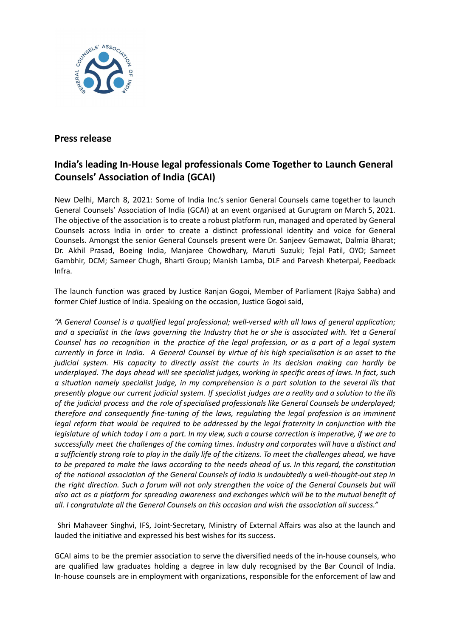

## **Press release**

## **India's leading In-House legal professionals Come Together to Launch General Counsels' Association of India (GCAI)**

New Delhi, March 8, 2021: Some of India Inc.'s senior General Counsels came together to launch General Counsels' Association of India (GCAI) at an event organised at Gurugram on March 5, 2021. The objective of the association is to create a robust platform run, managed and operated by General Counsels across India in order to create a distinct professional identity and voice for General Counsels. Amongst the senior General Counsels present were Dr. Sanjeev Gemawat, Dalmia Bharat; Dr. Akhil Prasad, Boeing India, Manjaree Chowdhary, Maruti Suzuki; Tejal Patil, OYO; Sameet Gambhir, DCM; Sameer Chugh, Bharti Group; Manish Lamba, DLF and Parvesh Kheterpal, Feedback Infra.

The launch function was graced by Justice Ranjan Gogoi, Member of Parliament (Rajya Sabha) and former Chief Justice of India. Speaking on the occasion, Justice Gogoi said,

*"A General Counsel is a qualified legal professional; well-versed with all laws of general application;* and a specialist in the laws governing the Industry that he or she is associated with. Yet a General Counsel has no recognition in the practice of the legal profession, or as a part of a legal system currently in force in India. A General Counsel by virtue of his high specialisation is an asset to the *judicial system. His capacity to directly assist the courts in its decision making can hardly be underplayed. The days ahead will see specialist judges, working in specific areas of laws. In fact, such a situation namely specialist judge, in my comprehension is a part solution to the several ills that* presently plaque our current judicial system. If specialist judges are a reality and a solution to the ills *of the judicial process and the role of specialised professionals like General Counsels be underplayed; therefore and consequently fine-tuning of the laws, regulating the legal profession is an imminent legal reform that would be required to be addressed by the legal fraternity in conjunction with the* legislature of which today I am a part. In my view, such a course correction is imperative, if we are to *successfully meet the challenges of the coming times. Industry and corporates will have a distinct and* a sufficiently strong role to play in the daily life of the citizens. To meet the challenges ahead, we have to be prepared to make the laws according to the needs ahead of us. In this regard, the constitution *of the national association of the General Counsels of India is undoubtedly a well-thought-out step in* the right direction. Such a forum will not only strengthen the voice of the General Counsels but will also act as a platform for spreading awareness and exchanges which will be to the mutual benefit of *all. I congratulate all the General Counsels on this occasion and wish the association all success."*

Shri Mahaveer Singhvi, IFS, Joint-Secretary, Ministry of External Affairs was also at the launch and lauded the initiative and expressed his best wishes for its success.

GCAI aims to be the premier association to serve the diversified needs of the in-house counsels, who are qualified law graduates holding a degree in law duly recognised by the Bar Council of India. In-house counsels are in employment with organizations, responsible for the enforcement of law and